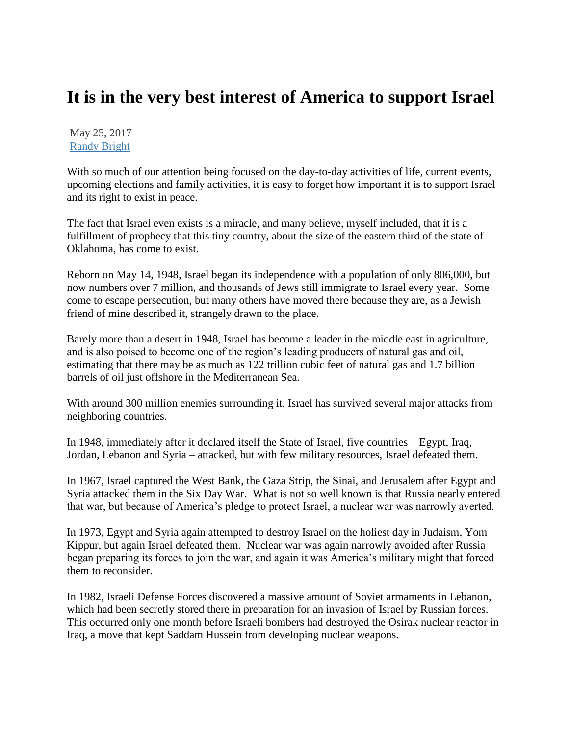## **It is in the very best interest of America to support Israel**

May 25, 2017 [Randy Bright](http://tulsabeacon.com/author/randy-bright/)

With so much of our attention being focused on the day-to-day activities of life, current events, upcoming elections and family activities, it is easy to forget how important it is to support Israel and its right to exist in peace.

The fact that Israel even exists is a miracle, and many believe, myself included, that it is a fulfillment of prophecy that this tiny country, about the size of the eastern third of the state of Oklahoma, has come to exist.

Reborn on May 14, 1948, Israel began its independence with a population of only 806,000, but now numbers over 7 million, and thousands of Jews still immigrate to Israel every year. Some come to escape persecution, but many others have moved there because they are, as a Jewish friend of mine described it, strangely drawn to the place.

Barely more than a desert in 1948, Israel has become a leader in the middle east in agriculture, and is also poised to become one of the region's leading producers of natural gas and oil, estimating that there may be as much as 122 trillion cubic feet of natural gas and 1.7 billion barrels of oil just offshore in the Mediterranean Sea.

With around 300 million enemies surrounding it, Israel has survived several major attacks from neighboring countries.

In 1948, immediately after it declared itself the State of Israel, five countries – Egypt, Iraq, Jordan, Lebanon and Syria – attacked, but with few military resources, Israel defeated them.

In 1967, Israel captured the West Bank, the Gaza Strip, the Sinai, and Jerusalem after Egypt and Syria attacked them in the Six Day War. What is not so well known is that Russia nearly entered that war, but because of America's pledge to protect Israel, a nuclear war was narrowly averted.

In 1973, Egypt and Syria again attempted to destroy Israel on the holiest day in Judaism, Yom Kippur, but again Israel defeated them. Nuclear war was again narrowly avoided after Russia began preparing its forces to join the war, and again it was America's military might that forced them to reconsider.

In 1982, Israeli Defense Forces discovered a massive amount of Soviet armaments in Lebanon, which had been secretly stored there in preparation for an invasion of Israel by Russian forces. This occurred only one month before Israeli bombers had destroyed the Osirak nuclear reactor in Iraq, a move that kept Saddam Hussein from developing nuclear weapons.